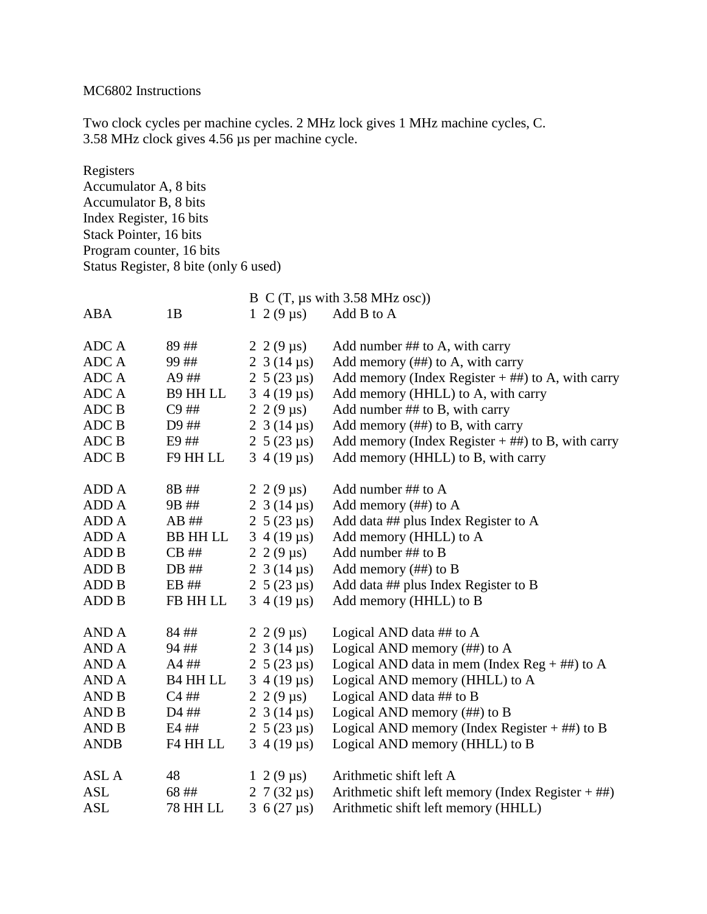## MC6802 Instructions

Two clock cycles per machine cycles. 2 MHz lock gives 1 MHz machine cycles, C. 3.58 MHz clock gives 4.56 µs per machine cycle.

Registers Accumulator A, 8 bits Accumulator B, 8 bits Index Register, 16 bits Stack Pointer, 16 bits Program counter, 16 bits Status Register, 8 bite (only 6 used)

|                |                 |                               | $B \, C \, (T, \mu s \text{ with } 3.58 \text{ MHz osc})$ |
|----------------|-----------------|-------------------------------|-----------------------------------------------------------|
| ABA            | 1B              | $1 \ 2(9 \,\mu s)$            | Add B to A                                                |
|                |                 |                               |                                                           |
| ADC A          | 89##            | 2 2 (9 $\mu$ s)               | Add number ## to A, with carry                            |
| ADC A          | 99##            | 2 3 (14 $\mu$ s)              | Add memory $(\# \#)$ to A, with carry                     |
| ADC A          | A9##            | 2 $5(23 \mu s)$               | Add memory (Index Register $+$ ##) to A, with carry       |
| ADC A          | B9 HH LL        | $3\,4(19 \,\mu s)$            | Add memory (HHLL) to A, with carry                        |
| ADC B          | $C9$ ##         | 2 2 (9 $\mu$ s)               | Add number ## to B, with carry                            |
| ADC B          | D9 ##           | 2 3 (14 $\mu$ s)              | Add memory $(\# \#)$ to B, with carry                     |
| ADC B          | E9 ##           | 2 5 (23 $\mu$ s)              | Add memory (Index Register $+$ ##) to B, with carry       |
| ADC B          | F9 HH LL        | $3\,4(19 \,\mu s)$            | Add memory (HHLL) to B, with carry                        |
|                |                 |                               |                                                           |
| ADD A          | 8B ##           | $2\;2(9 \,\mu s)$             | Add number ## to A                                        |
| ADD A          | 9B##            | 2 3 (14 $\mu$ s)              | Add memory $(\# \#)$ to A                                 |
| ADD A          | $AB$ ##         | 2 5 (23 $\mu$ s)              | Add data ## plus Index Register to A                      |
| ADD A          | <b>BB HH LL</b> | $3\,4(19 \,\mu s)$            | Add memory (HHLL) to A                                    |
| ADD B          | $CB$ ##         | 2 2 (9 $\mu$ s)               | Add number ## to B                                        |
| ADD B          | DB ##           | 2 3 (14 $\mu$ s)              | Add memory (##) to B                                      |
| ADD B          | EB ##           | 2 5 (23 $\mu$ s)              | Add data ## plus Index Register to B                      |
| <b>ADD B</b>   | FB HH LL        | $3\,4(19 \,\mu s)$            | Add memory (HHLL) to B                                    |
| AND A          | 84##            |                               |                                                           |
| AND A          |                 | $2\;2(9 \text{ }\mu\text{s})$ | Logical AND data $\#$ # to A                              |
|                | 94##            | 2 3 (14 $\mu$ s)              | Logical AND memory $(\# \#)$ to A                         |
| AND A<br>AND A | A4 ##           | 2 $5(23 \mu s)$               | Logical AND data in mem (Index Reg $+$ ##) to A           |
| AND B          | <b>B4 HH LL</b> | $3\,4(19 \,\mu s)$            | Logical AND memory (HHLL) to A                            |
|                | $C4$ ##         | $2\;2(9 \text{ }\mu\text{s})$ | Logical AND data ## to B                                  |
| <b>AND B</b>   | D4 ##           | 2 3 (14 $\mu$ s)              | Logical AND memory $(\# \#)$ to B                         |
| AND B          | E4 ##           | 2 5 (23 $\mu$ s)              | Logical AND memory (Index Register $+$ ##) to B           |
| <b>ANDB</b>    | F4 HH LL        | $3\,4(19 \,\mu s)$            | Logical AND memory (HHLL) to B                            |
| ASL A          | 48              | $1 \ 2 \ (9 \ \mu s)$         | Arithmetic shift left A                                   |
| <b>ASL</b>     | 68 ##           | 2 7 (32 $\mu$ s)              | Arithmetic shift left memory (Index Register $+$ ##)      |
| <b>ASL</b>     | <b>78 HH LL</b> | 3 6 (27 $\mu$ s)              | Arithmetic shift left memory (HHLL)                       |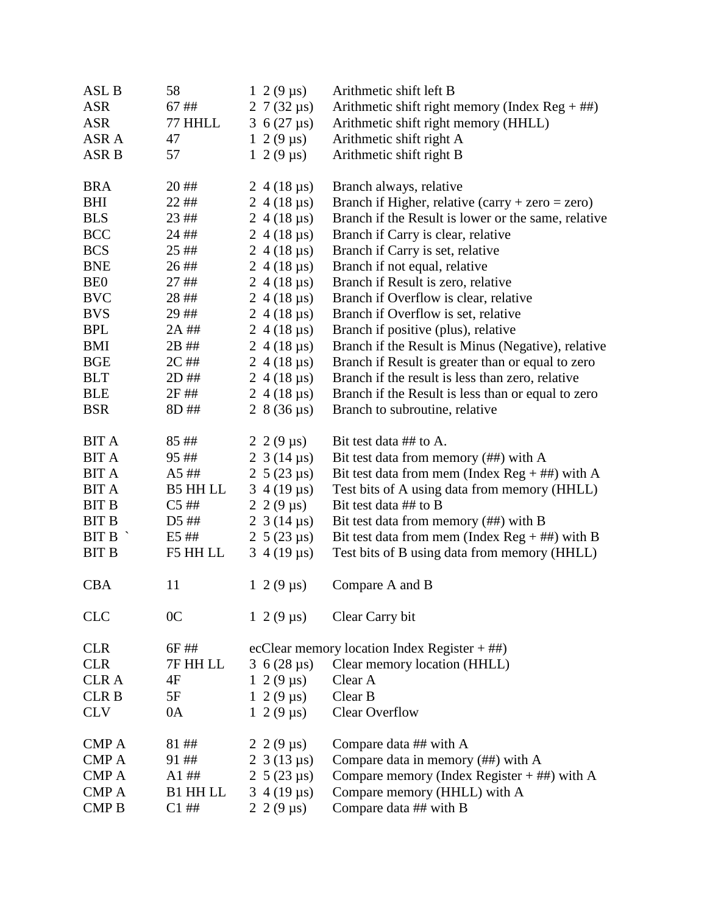| ASL B            | 58              | $1 \ 2 \ (9 \ \mu s)$ | Arithmetic shift left B                             |
|------------------|-----------------|-----------------------|-----------------------------------------------------|
| <b>ASR</b>       | 67 ##           | 2 7 (32 $\mu s$ )     | Arithmetic shift right memory (Index Reg $+$ ##)    |
| <b>ASR</b>       | 77 HHLL         | 3 $6(27 \,\mu s)$     | Arithmetic shift right memory (HHLL)                |
| ASR A            | 47              | $1 \ 2(9 \,\mu s)$    | Arithmetic shift right A                            |
| ASR B            | 57              | $1 \ 2(9 \,\mu s)$    | Arithmetic shift right B                            |
| <b>BRA</b>       | 20##            | $2\,4(18 \,\mu s)$    | Branch always, relative                             |
| <b>BHI</b>       | 22 ##           | $2\;4(18 \,\mu s)$    | Branch if Higher, relative $(carry + zero = zero)$  |
| <b>BLS</b>       | 23 ##           | 2 4 (18 $\mu$ s)      | Branch if the Result is lower or the same, relative |
| <b>BCC</b>       | 24 ##           | 2 4 (18 $\mu$ s)      | Branch if Carry is clear, relative                  |
| <b>BCS</b>       | 25 ##           | 2 4 (18 $\mu$ s)      | Branch if Carry is set, relative                    |
| <b>BNE</b>       | 26##            | 2 4 (18 $\mu$ s)      | Branch if not equal, relative                       |
| <b>BEO</b>       | 27##            | $2\,4(18 \,\mu s)$    | Branch if Result is zero, relative                  |
| <b>BVC</b>       | 28##            | $2\,4(18 \,\mu s)$    | Branch if Overflow is clear, relative               |
| <b>BVS</b>       | 29##            | $2\,4(18 \,\mu s)$    | Branch if Overflow is set, relative                 |
| <b>BPL</b>       | 2A ##           | 2 4 (18 $\mu$ s)      | Branch if positive (plus), relative                 |
| <b>BMI</b>       | 2B ##           | 2 4 (18 $\mu$ s)      | Branch if the Result is Minus (Negative), relative  |
| <b>BGE</b>       | 2C ##           | 2 4 (18 $\mu$ s)      | Branch if Result is greater than or equal to zero   |
| <b>BLT</b>       | 2D ##           | $2\,4(18 \,\mu s)$    | Branch if the result is less than zero, relative    |
| <b>BLE</b>       | 2F ##           | 2 4 (18 $\mu$ s)      | Branch if the Result is less than or equal to zero  |
| <b>BSR</b>       | 8D ##           | 2 $8(36 \,\mu s)$     | Branch to subroutine, relative                      |
| <b>BIT A</b>     | 85##            | 2 2 (9 $\mu$ s)       | Bit test data ## to A.                              |
| <b>BIT A</b>     | 95##            | 2 3 (14 $\mu$ s)      | Bit test data from memory (##) with A               |
| <b>BIT A</b>     | A5##            | 2 5 (23 $\mu$ s)      | Bit test data from mem (Index $Reg + \#H$ ) with A  |
| <b>BIT A</b>     | <b>B5 HH LL</b> | $3\,4(19 \,\mu s)$    | Test bits of A using data from memory (HHLL)        |
| <b>BIT B</b>     | $C5$ ##         | 2 2 (9 $\mu$ s)       | Bit test data ## to B                               |
| <b>BIT B</b>     | D5 ##           | 2 3 (14 $\mu$ s)      | Bit test data from memory (##) with B               |
| $BIT B^{\prime}$ | E5 ##           | 2 5 (23 $\mu$ s)      | Bit test data from mem (Index Reg + ##) with B      |
| <b>BIT B</b>     | F5 HH LL        | $3\,4(19 \,\mu s)$    | Test bits of B using data from memory (HHLL)        |
| <b>CBA</b>       | 11              | $1 \ 2 \ (9 \ \mu s)$ | Compare A and B                                     |
| CLC              | 0 <sup>C</sup>  | $1 \ 2(9 \,\mu s)$    | Clear Carry bit                                     |
| <b>CLR</b>       | 6F ##           |                       | ecClear memory location Index Register $+$ ##)      |
| <b>CLR</b>       | 7F HH LL        | 3 $6(28 \,\mu s)$     | Clear memory location (HHLL)                        |
| <b>CLRA</b>      | 4F              | $1 \ 2 \ (9 \ \mu s)$ | Clear A                                             |
| <b>CLRB</b>      | 5F              | $1 \ 2(9 \,\mu s)$    | Clear B                                             |
| <b>CLV</b>       | 0A              | $1 \ 2(9 \,\mu s)$    | <b>Clear Overflow</b>                               |
| <b>CMP A</b>     | 81##            | $2\;2(9 \,\mu s)$     | Compare data ## with A                              |
| <b>CMPA</b>      | 91##            | $2\;3(13 \; \mu s)$   | Compare data in memory (##) with A                  |
| <b>CMP A</b>     | $A1$ ##         | 2 5 (23 $\mu$ s)      | Compare memory (Index Register $+$ ##) with A       |
| <b>CMP A</b>     | <b>B1 HH LL</b> | $3\,4(19 \,\mu s)$    | Compare memory (HHLL) with A                        |
| <b>CMPB</b>      | $C1$ ##         | 2 2 (9 $\mu$ s)       | Compare data ## with B                              |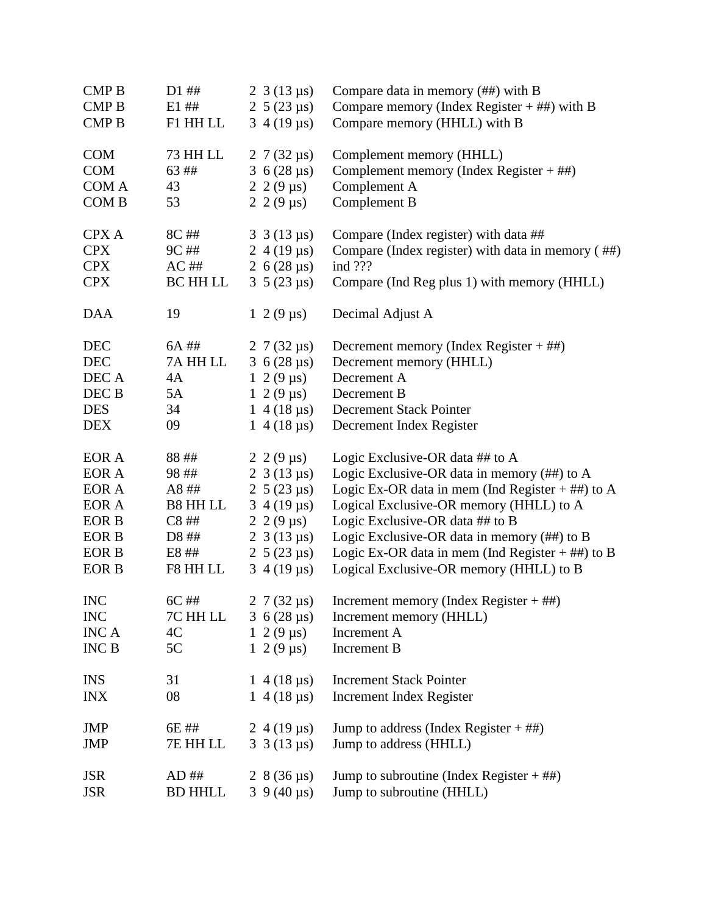| <b>CMPB</b>  | $D1$ ##         | $2 \frac{3(13 \text{ }\mu\text{s})}{2}$ | Compare data in memory $(\# \#)$ with B            |
|--------------|-----------------|-----------------------------------------|----------------------------------------------------|
| <b>CMP B</b> | E1##            | 2 5 (23 $\mu$ s)                        | Compare memory (Index Register $+$ ##) with B      |
| <b>CMP B</b> | F1 HH LL        | $3\,4(19 \,\mu s)$                      | Compare memory (HHLL) with B                       |
| <b>COM</b>   | 73 HH LL        | 2 7 (32 $\mu$ s)                        | Complement memory (HHLL)                           |
| <b>COM</b>   | 63 ##           | 3 6 (28 $\mu$ s)                        | Complement memory (Index Register $+$ ##)          |
| COM A        | 43              | $2\;2(9 \,\mu s)$                       | Complement A                                       |
| COM B        | 53              | 2 2 (9 $\mu$ s)                         | Complement B                                       |
| <b>CPX A</b> | 8C ##           | $3 \frac{3(13 \text{ }\mu\text{s})}{2}$ | Compare (Index register) with data ##              |
| <b>CPX</b>   | $9C$ ##         | 2 4 (19 $\mu$ s)                        | Compare (Index register) with data in memory (##)  |
| <b>CPX</b>   | $AC$ ##         | 2 $6(28 \,\mu s)$                       | ind ???                                            |
| <b>CPX</b>   | <b>BC HH LL</b> | $3\;5(23 \text{ }\mu\text{s})$          | Compare (Ind Reg plus 1) with memory (HHLL)        |
| <b>DAA</b>   | 19              | $1 \ 2(9 \,\mu s)$                      | Decimal Adjust A                                   |
| <b>DEC</b>   | 6A ##           | 2 7 (32 $\mu$ s)                        | Decrement memory (Index Register $+$ ##)           |
| <b>DEC</b>   | 7A HH LL        | 3 6 (28 $\mu$ s)                        | Decrement memory (HHLL)                            |
| DEC A        | 4A              | $1 \ 2 \ (9 \ \mu s)$                   | Decrement A                                        |
| DEC B        | 5A              | $1 \ 2 \ (9 \ \mu s)$                   | Decrement B                                        |
| <b>DES</b>   | 34              | $1\;4(18 \,\mu s)$                      | <b>Decrement Stack Pointer</b>                     |
| <b>DEX</b>   | 09              | $1\;4(18 \,\mu s)$                      | Decrement Index Register                           |
| EOR A        | 88##            | 2 2 (9 $\mu$ s)                         | Logic Exclusive-OR data ## to A                    |
| EOR A        | 98##            | $2 \frac{3(13 \text{ }\mu\text{s})}{2}$ | Logic Exclusive-OR data in memory (##) to A        |
| EOR A        | A8##            | 2 5 (23 $\mu$ s)                        | Logic Ex-OR data in mem (Ind Register $+$ ##) to A |
| EOR A        | B8 HH LL        | $3\,4(19 \,\mu s)$                      | Logical Exclusive-OR memory (HHLL) to A            |
| <b>EOR B</b> | C8##            | $2\;2(9 \,\mu s)$                       | Logic Exclusive-OR data ## to B                    |
| EOR B        | D8 ##           | 2 3 (13 $\mu$ s)                        | Logic Exclusive-OR data in memory (##) to B        |
| <b>EOR B</b> | E8 ##           | 2 $5(23 \mu s)$                         | Logic Ex-OR data in mem (Ind Register $+$ ##) to B |
| <b>EOR B</b> | F8 HH LL        | $3\,4(19 \,\mu s)$                      | Logical Exclusive-OR memory (HHLL) to B            |
| <b>INC</b>   | $6C$ ##         | 2 7 (32 $\mu$ s)                        | Increment memory (Index Register $+$ ##)           |
| <b>INC</b>   | 7C HH LL        | 3 6 (28 $\mu$ s)                        | Increment memory (HHLL)                            |
| <b>INCA</b>  | 4C              | $1 \ 2 \ (9 \ \mu s)$                   | Increment A                                        |
| <b>INC B</b> | 5C              | $1 \ 2(9 \,\mu s)$                      | Increment B                                        |
| <b>INS</b>   | 31              | $1\,4(18 \,\mu s)$                      | <b>Increment Stack Pointer</b>                     |
| <b>INX</b>   | 08              | $1\;4(18\;\mu s)$                       | Increment Index Register                           |
| <b>JMP</b>   | 6E ##           | 2 4 (19 $\mu$ s)                        | Jump to address (Index Register $+$ ##)            |
| <b>JMP</b>   | 7E HH LL        | $3 \frac{3(13 \text{ }\mu\text{s})}{2}$ | Jump to address (HHLL)                             |
| <b>JSR</b>   | $AD$ ##         | 2 $8(36 \,\mu s)$                       | Jump to subroutine (Index Register $+$ ##)         |
| <b>JSR</b>   | <b>BD HHLL</b>  | $3\,9(40 \,\mu s)$                      | Jump to subroutine (HHLL)                          |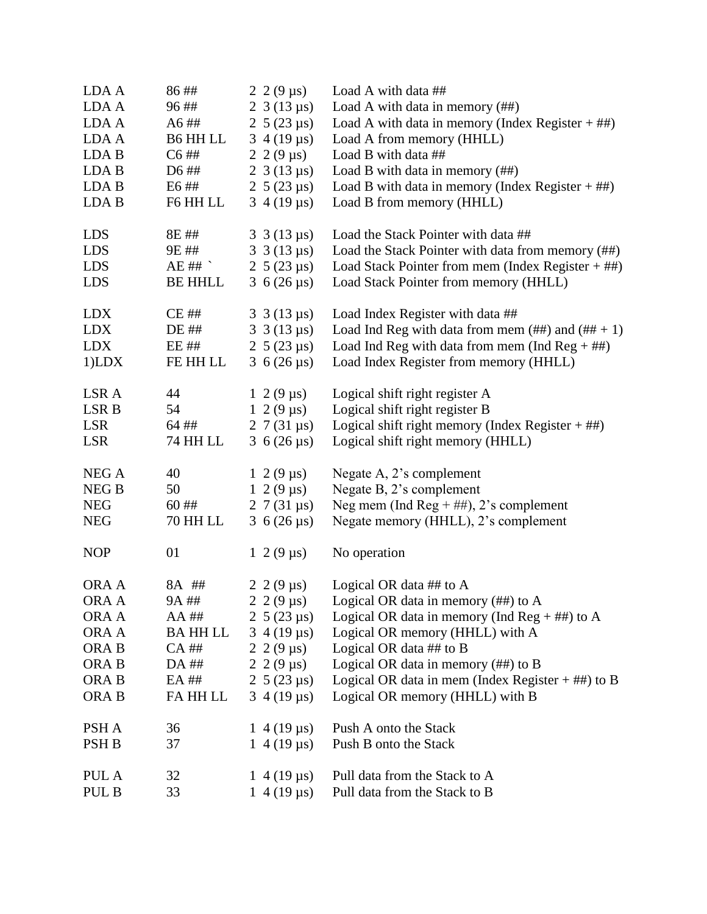| LDA A            | 86##            | 2 2 (9 $\mu$ s)                         | Load A with data ##                                         |
|------------------|-----------------|-----------------------------------------|-------------------------------------------------------------|
| LDA A            | 96##            | 2 3 (13 $\mu$ s)                        | Load A with data in memory $(\# \#)$                        |
| LDA A            | A6##            | 2 $5(23 \mu s)$                         | Load A with data in memory (Index Register $+$ ##)          |
| LDA A            | B6 HH LL        | $3\,4(19 \,\mu s)$                      | Load A from memory (HHLL)                                   |
| LDA B            | $C6$ ##         | $2\;2(9 \,\mu s)$                       | Load B with data ##                                         |
| LDA B            | D6 ##           | 2 3 (13 $\mu$ s)                        | Load B with data in memory $(\# \#)$                        |
| LDA B            | E6##            | 2 5 (23 $\mu$ s)                        | Load B with data in memory (Index Register $+$ ##)          |
| LDA B            | F6 HH LL        | $3\,4(19 \,\mu s)$                      | Load B from memory (HHLL)                                   |
| <b>LDS</b>       | 8E ##           | $3 \frac{3(13 \text{ }\mu\text{s})}{2}$ | Load the Stack Pointer with data ##                         |
| <b>LDS</b>       | 9E ##           | $3 \frac{3(13 \text{ }\mu\text{s})}{2}$ | Load the Stack Pointer with data from memory (##)           |
| <b>LDS</b>       | $AE$ ##         | 2 $5(23 \mu s)$                         | Load Stack Pointer from mem (Index Register $+$ ##)         |
| <b>LDS</b>       | <b>BE HHLL</b>  | 3 6 (26 $\mu$ s)                        | Load Stack Pointer from memory (HHLL)                       |
| <b>LDX</b>       | <b>CE##</b>     | $3 \frac{3(13 \text{ }\mu\text{s})}{2}$ | Load Index Register with data ##                            |
| <b>LDX</b>       | DE ##           | 3 3 (13 $\mu s$ )                       | Load Ind Reg with data from mem $(\# \#)$ and $(\# \# + 1)$ |
| <b>LDX</b>       | EE ##           | 2 5 (23 $\mu$ s)                        | Load Ind Reg with data from mem (Ind Reg $+$ ##)            |
| $1$ ) $LDX$      | FE HH LL        | 3 $6(26 \,\mu s)$                       | Load Index Register from memory (HHLL)                      |
| LSR A            | 44              | $1 \ 2(9 \,\mu s)$                      | Logical shift right register A                              |
| LSR B            | 54              | $1\ 2(9 \,\mu s)$                       | Logical shift right register B                              |
| <b>LSR</b>       | 64 ##           | 2 7 (31 $\mu$ s)                        | Logical shift right memory (Index Register $+$ ##)          |
| <b>LSR</b>       | 74 HH LL        | 3 6 (26 $\mu$ s)                        | Logical shift right memory (HHLL)                           |
| NEG A            | 40              | $1 \ 2(9 \,\mu s)$                      | Negate A, 2's complement                                    |
| NEG B            | 50              | $1 \ 2 \ (9 \ \mu s)$                   | Negate B, 2's complement                                    |
| <b>NEG</b>       | 60##            | 2 7 (31 $\mu$ s)                        | Neg mem (Ind Reg + ##), 2's complement                      |
| <b>NEG</b>       | 70 HH LL        | 3 6 (26 $\mu$ s)                        | Negate memory (HHLL), 2's complement                        |
| <b>NOP</b>       | 01              | $1 \ 2 \ (9 \ \mu s)$                   | No operation                                                |
| ORA A            | 8A ##           | $2\ 2\ (9 \ \mu s)$                     | Logical OR data $\#$ # to A                                 |
| ORA A            | 9A ##           |                                         | 2 2 (9 $\mu$ s) Logical OR data in memory (##) to A         |
| ORA A            | $AA$ ##         | 2 $5(23 \mu s)$                         | Logical OR data in memory (Ind Reg $+$ ##) to A             |
| ORA A            | <b>BA HH LL</b> | $3\,4(19 \,\mu s)$                      | Logical OR memory (HHLL) with A                             |
| ORA B            | $CA$ ##         | 2 2 (9 $\mu$ s)                         | Logical OR data $\#$ # to B                                 |
| ORA B            | DA ##           | 2 2 (9 $\mu$ s)                         | Logical OR data in memory $(\# \#)$ to B                    |
| ORA <sub>B</sub> | EA ##           | 2 $5(23 \mu s)$                         | Logical OR data in mem (Index Register $+$ ##) to B         |
| ORA B            | FA HH LL        | $3\,4(19 \,\mu s)$                      | Logical OR memory (HHLL) with B                             |
| PSH A            | 36              | $1\,4(19 \,\mu s)$                      | Push A onto the Stack                                       |
| PSH <sub>B</sub> | 37              | $1\;4(19 \,\mu s)$                      | Push B onto the Stack                                       |
| PUL A            | 32              | $1\,4(19 \,\mu s)$                      | Pull data from the Stack to A                               |
| PUL B            | 33              | $1\,4(19 \,\mu s)$                      | Pull data from the Stack to B                               |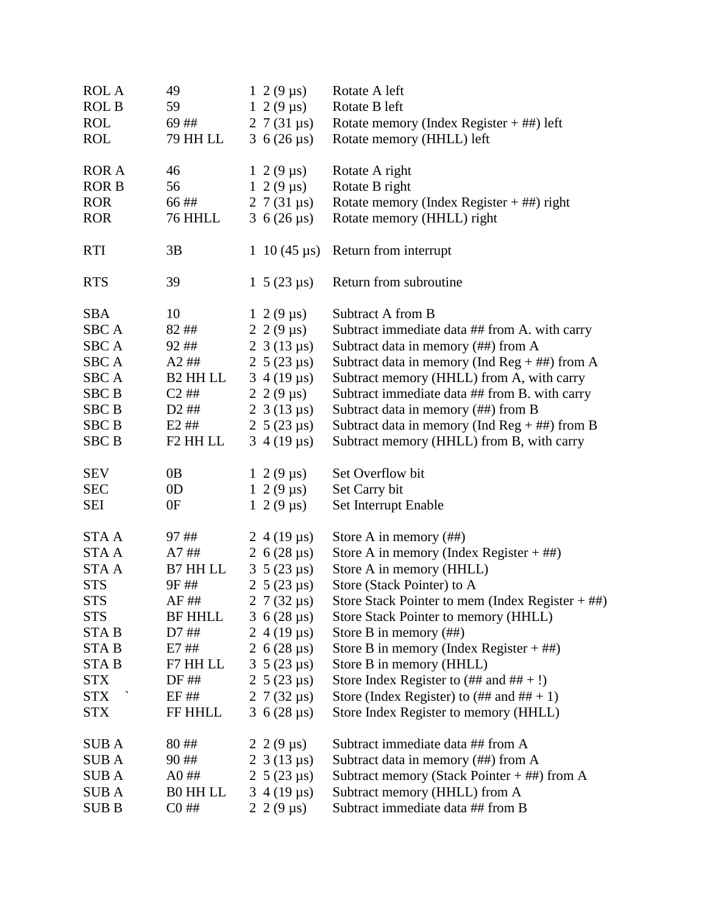| <b>ROL A</b> | 49                   | $1 \ 2 \ (9 \ \mu s)$   | Rotate A left                                              |
|--------------|----------------------|-------------------------|------------------------------------------------------------|
| <b>ROL B</b> | 59                   | $1 \ 2(9 \,\mu s)$      | Rotate B left                                              |
| <b>ROL</b>   | 69##                 | 2 7 (31 $\mu$ s)        | Rotate memory (Index Register $+$ ##) left                 |
| <b>ROL</b>   | 79 HH LL             | 3 $6(26 \,\mu s)$       | Rotate memory (HHLL) left                                  |
| <b>ROR A</b> | 46                   | $1 \ 2 \ (9 \ \mu s)$   | Rotate A right                                             |
| <b>ROR B</b> | 56                   | $1\ 2(9 \,\mu s)$       | Rotate B right                                             |
| <b>ROR</b>   | 66##                 | 2 7 (31 $\mu$ s)        | Rotate memory (Index Register $+$ ##) right                |
| <b>ROR</b>   | 76 HHLL              | 3 6 (26 $\mu$ s)        | Rotate memory (HHLL) right                                 |
| <b>RTI</b>   | 3B                   | 1 10 (45 $\mu$ s)       | Return from interrupt                                      |
| <b>RTS</b>   | 39                   | $1\;5(23 \; \mu s)$     | Return from subroutine                                     |
| <b>SBA</b>   | 10                   | $1 \ 2(9 \,\mu s)$      | Subtract A from B                                          |
| <b>SBCA</b>  | 82##                 | 2 2 (9 $\mu$ s)         | Subtract immediate data ## from A. with carry              |
| <b>SBCA</b>  | 92##                 | 2 3 (13 $\mu$ s)        | Subtract data in memory (##) from A                        |
| <b>SBCA</b>  | $A2$ ##              | 2 $5(23 \mu s)$         | Subtract data in memory (Ind Reg + ##) from A              |
| <b>SBCA</b>  | B <sub>2</sub> HH LL | $3\,4(19 \,\mu s)$      | Subtract memory (HHLL) from A, with carry                  |
| <b>SBC B</b> | $C2$ ##              | $2\;2(9 \,\mu s)$       | Subtract immediate data ## from B. with carry              |
| <b>SBC B</b> | $D2$ ##              | 2 3 (13 $\mu$ s)        | Subtract data in memory (##) from B                        |
| <b>SBC B</b> | $E2$ ##              | 2 5 (23 $\mu$ s)        | Subtract data in memory (Ind $\text{Reg} + \# \#$ ) from B |
| <b>SBC B</b> | F <sub>2</sub> HH LL | $3\,4(19 \,\mu s)$      | Subtract memory (HHLL) from B, with carry                  |
| <b>SEV</b>   | 0 <sub>B</sub>       | $1 \ 2(9 \,\mu s)$      | Set Overflow bit                                           |
| <b>SEC</b>   | 0 <sub>D</sub>       | $1\ 2(9 \,\mu s)$       | Set Carry bit                                              |
| SEI          | 0F                   | $1 \ 2(9 \,\mu s)$      | Set Interrupt Enable                                       |
| <b>STAA</b>  | 97##                 | $2\,4(19 \,\mu s)$      | Store A in memory $(\# \#)$                                |
| STA A        | A7##                 | 2 $6(28 \,\mu s)$       | Store A in memory (Index Register $+$ ##)                  |
| <b>STAA</b>  | B7 HH LL             | $3\; 5\; (23 \; \mu s)$ | Store A in memory (HHLL)                                   |
| <b>STS</b>   | 9F##                 | 2 $5(23 \mu s)$         | Store (Stack Pointer) to A                                 |
| <b>STS</b>   | AF ##                | 2 7 (32 $\mu s$ )       | Store Stack Pointer to mem (Index Register $+$ ##)         |
| <b>STS</b>   | <b>BF HHLL</b>       | 3 6 (28 $\mu$ s)        | Store Stack Pointer to memory (HHLL)                       |
| <b>STAB</b>  | D7 ##                | 2 4 (19 $\mu$ s)        | Store B in memory $(\# \#)$                                |
| <b>STAB</b>  | E7 ##                | 2 $6(28 \mu s)$         | Store B in memory (Index Register $+$ ##)                  |
| <b>STAB</b>  | F7 HH LL             | $3\; 5\; (23 \; \mu s)$ | Store B in memory (HHLL)                                   |
| <b>STX</b>   | DF ##                | 2 $5(23 \mu s)$         | Store Index Register to $(\# \# \text{ and } \# \# +!)$    |
| STX `        | EF ##                | 2 7 (32 $\mu$ s)        | Store (Index Register) to $(\# \# \text{ and } \# \# + 1)$ |
| <b>STX</b>   | FF HHLL              | 3 6 (28 $\mu$ s)        | Store Index Register to memory (HHLL)                      |
| <b>SUBA</b>  | 80##                 | $2\;2(9 \,\mu s)$       | Subtract immediate data ## from A                          |
| SUB A        | 90##                 | 2 3 (13 $\mu$ s)        | Subtract data in memory (##) from A                        |
| <b>SUBA</b>  | $A0$ ##              | 2 $5(23 \mu s)$         | Subtract memory (Stack Pointer $+$ ##) from A              |
| <b>SUBA</b>  | <b>BO HH LL</b>      | $3\,4(19 \,\mu s)$      | Subtract memory (HHLL) from A                              |
| <b>SUBB</b>  | $CO$ ##              | 2 2 (9 $\mu$ s)         | Subtract immediate data ## from B                          |